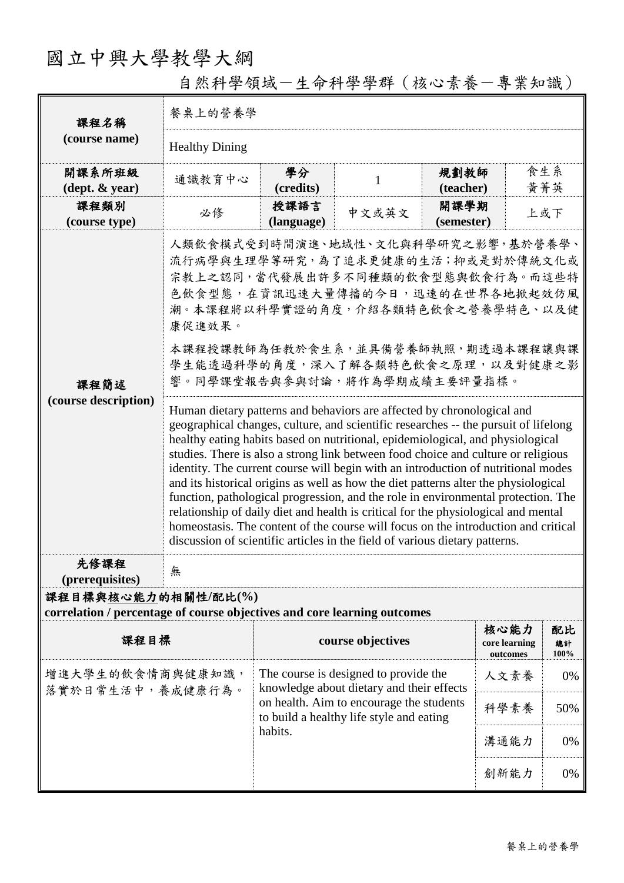## 國立中興大學教學大綱

| 課程名稱<br>(course name)                                                                           | 餐桌上的營養學                                                                                                                                                                                                                                                                                                                                                                                                                                                                                                                                                                                                                                                                                                                                                                                                                                                                                                                                                                                                                                                                                                                                                                      |                                                                                                                                                                                       |                   |                    |                                   |                  |  |  |
|-------------------------------------------------------------------------------------------------|------------------------------------------------------------------------------------------------------------------------------------------------------------------------------------------------------------------------------------------------------------------------------------------------------------------------------------------------------------------------------------------------------------------------------------------------------------------------------------------------------------------------------------------------------------------------------------------------------------------------------------------------------------------------------------------------------------------------------------------------------------------------------------------------------------------------------------------------------------------------------------------------------------------------------------------------------------------------------------------------------------------------------------------------------------------------------------------------------------------------------------------------------------------------------|---------------------------------------------------------------------------------------------------------------------------------------------------------------------------------------|-------------------|--------------------|-----------------------------------|------------------|--|--|
|                                                                                                 | <b>Healthy Dining</b>                                                                                                                                                                                                                                                                                                                                                                                                                                                                                                                                                                                                                                                                                                                                                                                                                                                                                                                                                                                                                                                                                                                                                        |                                                                                                                                                                                       |                   |                    |                                   |                  |  |  |
| 開課系所班級<br>$(\text{dept.} \& \text{ year})$                                                      | 通識教育中心                                                                                                                                                                                                                                                                                                                                                                                                                                                                                                                                                                                                                                                                                                                                                                                                                                                                                                                                                                                                                                                                                                                                                                       | 學分<br>(credits)                                                                                                                                                                       | $\mathbf{1}$      | 規劃教師<br>(teacher)  | 食生系                               | 黃菁英              |  |  |
| 課程類別<br>(course type)                                                                           | 必修                                                                                                                                                                                                                                                                                                                                                                                                                                                                                                                                                                                                                                                                                                                                                                                                                                                                                                                                                                                                                                                                                                                                                                           | 授課語言<br>(language)                                                                                                                                                                    | 中文或英文             | 開課學期<br>(semester) |                                   | 上或下              |  |  |
| 課程簡述<br>(course description)                                                                    | 人類飲食模式受到時間演進、地域性、文化與科學研究之影響,基於營養學、<br>流行病學與生理學等研究,為了追求更健康的生活;抑或是對於傳統文化或<br>宗教上之認同,當代發展出許多不同種類的飲食型態與飲食行為。而這些特<br>色飲食型態,在資訊迅速大量傳播的今日,迅速的在世界各地掀起效仿風<br>潮。本課程將以科學實證的角度,介紹各類特色飲食之營養學特色、以及健<br>康促進效果。<br>本課程授課教師為任教於食生系,並具備營養師執照,期透過本課程讓與課<br>學生能透過科學的角度,深入了解各類特色飲食之原理,以及對健康之影<br>響。同學課堂報告與參與討論,將作為學期成績主要評量指標。<br>Human dietary patterns and behaviors are affected by chronological and<br>geographical changes, culture, and scientific researches -- the pursuit of lifelong<br>healthy eating habits based on nutritional, epidemiological, and physiological<br>studies. There is also a strong link between food choice and culture or religious<br>identity. The current course will begin with an introduction of nutritional modes<br>and its historical origins as well as how the diet patterns alter the physiological<br>function, pathological progression, and the role in environmental protection. The<br>relationship of daily diet and health is critical for the physiological and mental<br>homeostasis. The content of the course will focus on the introduction and critical<br>discussion of scientific articles in the field of various dietary patterns. |                                                                                                                                                                                       |                   |                    |                                   |                  |  |  |
| 先修課程<br>(prerequisites)                                                                         | 無                                                                                                                                                                                                                                                                                                                                                                                                                                                                                                                                                                                                                                                                                                                                                                                                                                                                                                                                                                                                                                                                                                                                                                            |                                                                                                                                                                                       |                   |                    |                                   |                  |  |  |
| 課程目標與核心能力的相關性/配比(%)<br>correlation / percentage of course objectives and core learning outcomes |                                                                                                                                                                                                                                                                                                                                                                                                                                                                                                                                                                                                                                                                                                                                                                                                                                                                                                                                                                                                                                                                                                                                                                              |                                                                                                                                                                                       |                   |                    |                                   |                  |  |  |
| 課程目標                                                                                            |                                                                                                                                                                                                                                                                                                                                                                                                                                                                                                                                                                                                                                                                                                                                                                                                                                                                                                                                                                                                                                                                                                                                                                              |                                                                                                                                                                                       | course objectives |                    | 核心能力<br>core learning<br>outcomes | 配比<br>總計<br>100% |  |  |
| 增進大學生的飲食情商與健康知識,<br>落實於日常生活中,養成健康行為。                                                            |                                                                                                                                                                                                                                                                                                                                                                                                                                                                                                                                                                                                                                                                                                                                                                                                                                                                                                                                                                                                                                                                                                                                                                              | The course is designed to provide the<br>knowledge about dietary and their effects<br>on health. Aim to encourage the students<br>to build a healthy life style and eating<br>habits. |                   |                    | 人文素養                              | 0%               |  |  |
|                                                                                                 |                                                                                                                                                                                                                                                                                                                                                                                                                                                                                                                                                                                                                                                                                                                                                                                                                                                                                                                                                                                                                                                                                                                                                                              |                                                                                                                                                                                       |                   |                    | 科學素養                              | 50%              |  |  |
|                                                                                                 |                                                                                                                                                                                                                                                                                                                                                                                                                                                                                                                                                                                                                                                                                                                                                                                                                                                                                                                                                                                                                                                                                                                                                                              |                                                                                                                                                                                       |                   |                    | 溝通能力                              | 0%               |  |  |
|                                                                                                 |                                                                                                                                                                                                                                                                                                                                                                                                                                                                                                                                                                                                                                                                                                                                                                                                                                                                                                                                                                                                                                                                                                                                                                              |                                                                                                                                                                                       |                   |                    | 創新能力                              | 0%               |  |  |

自然科學領域-生命科學學群(核心素養-專業知識)